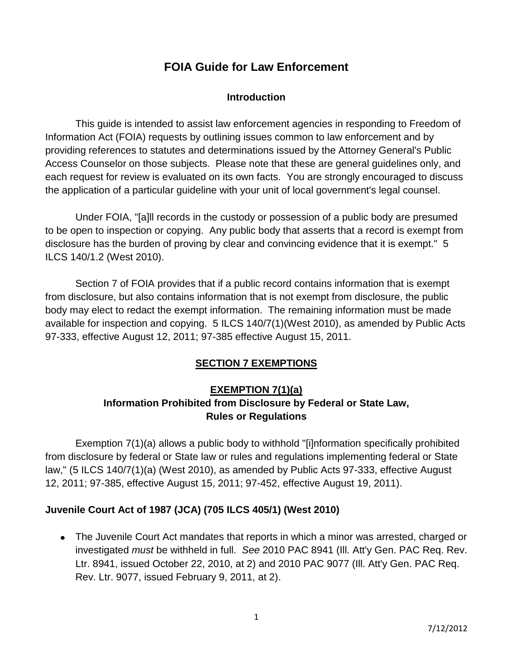# **FOIA Guide for Law Enforcement**

#### **Introduction**

This guide is intended to assist law enforcement agencies in responding to Freedom of Information Act (FOIA) requests by outlining issues common to law enforcement and by providing references to statutes and determinations issued by the Attorney General's Public Access Counselor on those subjects. Please note that these are general guidelines only, and each request for review is evaluated on its own facts. You are strongly encouraged to discuss the application of a particular guideline with your unit of local government's legal counsel.

Under FOIA, "[a]ll records in the custody or possession of a public body are presumed to be open to inspection or copying. Any public body that asserts that a record is exempt from disclosure has the burden of proving by clear and convincing evidence that it is exempt." 5 ILCS 140/1.2 (West 2010).

Section 7 of FOIA provides that if a public record contains information that is exempt from disclosure, but also contains information that is not exempt from disclosure, the public body may elect to redact the exempt information. The remaining information must be made available for inspection and copying. 5 ILCS 140/7(1)(West 2010), as amended by Public Acts 97-333, effective August 12, 2011; 97-385 effective August 15, 2011.

### **SECTION 7 EXEMPTIONS**

### **EXEMPTION 7(1)(a) Information Prohibited from Disclosure by Federal or State Law, Rules or Regulations**

Exemption 7(1)(a) allows a public body to withhold "[i]nformation specifically prohibited from disclosure by federal or State law or rules and regulations implementing federal or State law," (5 ILCS 140/7(1)(a) (West 2010), as amended by Public Acts 97-333, effective August 12, 2011; 97-385, effective August 15, 2011; 97-452, effective August 19, 2011).

#### **Juvenile Court Act of 1987 (JCA) (705 ILCS 405/1) (West 2010)**

The Juvenile Court Act mandates that reports in which a minor was arrested, charged or investigated *must* be withheld in full. *See* 2010 PAC 8941 (Ill. Att'y Gen. PAC Req. Rev. Ltr. 8941, issued October 22, 2010, at 2) and 2010 PAC 9077 (Ill. Att'y Gen. PAC Req. Rev. Ltr. 9077, issued February 9, 2011, at 2).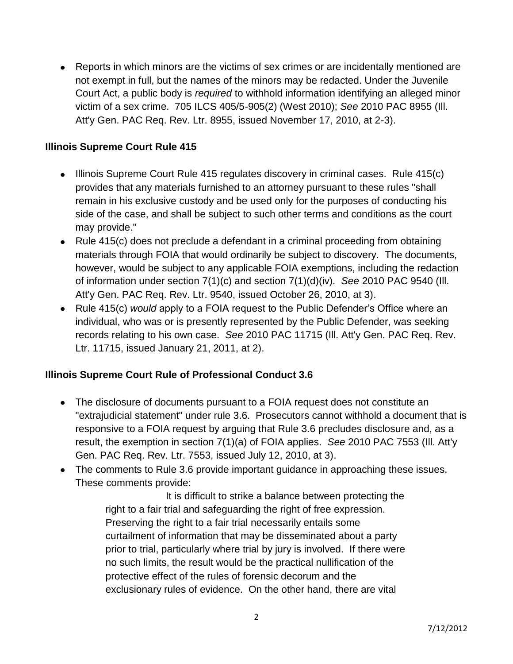Reports in which minors are the victims of sex crimes or are incidentally mentioned are not exempt in full, but the names of the minors may be redacted. Under the Juvenile Court Act, a public body is *required* to withhold information identifying an alleged minor victim of a sex crime. 705 ILCS 405/5-905(2) (West 2010); *See* 2010 PAC 8955 (Ill. Att'y Gen. PAC Req. Rev. Ltr. 8955, issued November 17, 2010, at 2-3).

#### **Illinois Supreme Court Rule 415**

- Illinois Supreme Court Rule 415 regulates discovery in criminal cases. Rule 415(c) provides that any materials furnished to an attorney pursuant to these rules "shall remain in his exclusive custody and be used only for the purposes of conducting his side of the case, and shall be subject to such other terms and conditions as the court may provide."
- Rule 415(c) does not preclude a defendant in a criminal proceeding from obtaining materials through FOIA that would ordinarily be subject to discovery. The documents, however, would be subject to any applicable FOIA exemptions, including the redaction of information under section 7(1)(c) and section 7(1)(d)(iv). *See* 2010 PAC 9540 (Ill. Att'y Gen. PAC Req. Rev. Ltr. 9540, issued October 26, 2010, at 3).
- Rule 415(c) *would* apply to a FOIA request to the Public Defender's Office where an individual, who was or is presently represented by the Public Defender, was seeking records relating to his own case. *See* 2010 PAC 11715 (Ill. Att'y Gen. PAC Req. Rev. Ltr. 11715, issued January 21, 2011, at 2).

#### **Illinois Supreme Court Rule of Professional Conduct 3.6**

- The disclosure of documents pursuant to a FOIA request does not constitute an "extrajudicial statement" under rule 3.6. Prosecutors cannot withhold a document that is responsive to a FOIA request by arguing that Rule 3.6 precludes disclosure and, as a result, the exemption in section 7(1)(a) of FOIA applies. *See* 2010 PAC 7553 (Ill. Att'y Gen. PAC Req. Rev. Ltr. 7553, issued July 12, 2010, at 3).
- The comments to Rule 3.6 provide important guidance in approaching these issues. These comments provide:

It is difficult to strike a balance between protecting the right to a fair trial and safeguarding the right of free expression. Preserving the right to a fair trial necessarily entails some curtailment of information that may be disseminated about a party prior to trial, particularly where trial by jury is involved. If there were no such limits, the result would be the practical nullification of the protective effect of the rules of forensic decorum and the exclusionary rules of evidence. On the other hand, there are vital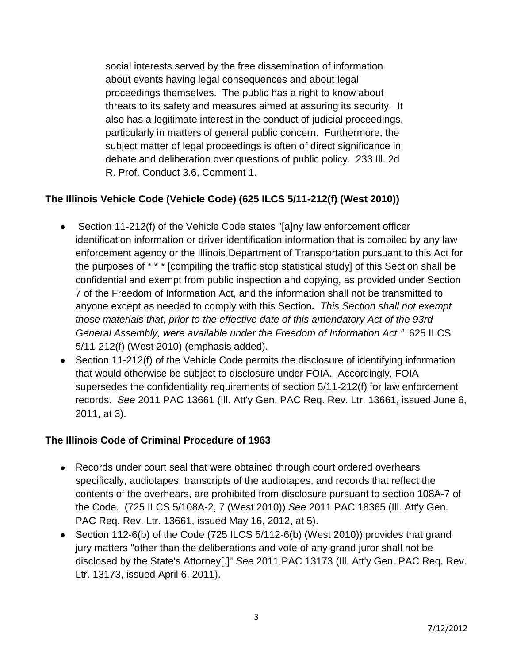social interests served by the free dissemination of information about events having legal consequences and about legal proceedings themselves. The public has a right to know about threats to its safety and measures aimed at assuring its security. It also has a legitimate interest in the conduct of judicial proceedings, particularly in matters of general public concern. Furthermore, the subject matter of legal proceedings is often of direct significance in debate and deliberation over questions of public policy. 233 Ill. 2d R. Prof. Conduct 3.6, Comment 1.

### **The Illinois Vehicle Code (Vehicle Code) (625 ILCS 5/11-212(f) (West 2010))**

- Section 11-212(f) of the Vehicle Code states "[a]ny law enforcement officer identification information or driver identification information that is compiled by any law enforcement agency or the Illinois Department of Transportation pursuant to this Act for the purposes of \* \* \* [compiling the traffic stop statistical study] of this Section shall be confidential and exempt from public inspection and copying, as provided under Section 7 of the Freedom of Information Act, and the information shall not be transmitted to anyone except as needed to comply with this Section*. This Section shall not exempt those materials that, prior to the effective date of this amendatory Act of the 93rd General Assembly, were available under the Freedom of Information Act."* 625 ILCS 5/11-212(f) (West 2010) (emphasis added).
- Section 11-212(f) of the Vehicle Code permits the disclosure of identifying information that would otherwise be subject to disclosure under FOIA. Accordingly, FOIA supersedes the confidentiality requirements of section 5/11-212(f) for law enforcement records. *See* 2011 PAC 13661 (Ill. Att'y Gen. PAC Req. Rev. Ltr. 13661, issued June 6, 2011, at 3).

#### **The Illinois Code of Criminal Procedure of 1963**

- Records under court seal that were obtained through court ordered overhears specifically, audiotapes, transcripts of the audiotapes, and records that reflect the contents of the overhears, are prohibited from disclosure pursuant to section 108A-7 of the Code. (725 ILCS 5/108A-2, 7 (West 2010)) *See* 2011 PAC 18365 (Ill. Att'y Gen. PAC Req. Rev. Ltr. 13661, issued May 16, 2012, at 5).
- Section 112-6(b) of the Code (725 ILCS 5/112-6(b) (West 2010)) provides that grand jury matters "other than the deliberations and vote of any grand juror shall not be disclosed by the State's Attorney[.]" *See* 2011 PAC 13173 (Ill. Att'y Gen. PAC Req. Rev. Ltr. 13173, issued April 6, 2011).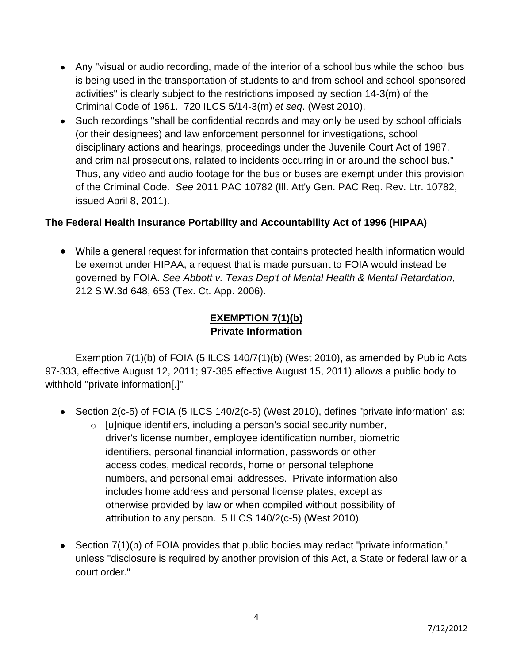- Any "visual or audio recording, made of the interior of a school bus while the school bus is being used in the transportation of students to and from school and school-sponsored activities" is clearly subject to the restrictions imposed by section 14-3(m) of the Criminal Code of 1961. 720 ILCS 5/14-3(m) *et seq*. (West 2010).
- Such recordings "shall be confidential records and may only be used by school officials (or their designees) and law enforcement personnel for investigations, school disciplinary actions and hearings, proceedings under the Juvenile Court Act of 1987, and criminal prosecutions, related to incidents occurring in or around the school bus." Thus, any video and audio footage for the bus or buses are exempt under this provision of the Criminal Code. *See* 2011 PAC 10782 (Ill. Att'y Gen. PAC Req. Rev. Ltr. 10782, issued April 8, 2011).

#### **The Federal Health Insurance Portability and Accountability Act of 1996 (HIPAA)**

While a general request for information that contains protected health information would be exempt under HIPAA, a request that is made pursuant to FOIA would instead be governed by FOIA. *See Abbott v. Texas Dep't of Mental Health & Mental Retardation*, 212 S.W.3d 648, 653 (Tex. Ct. App. 2006).

### **EXEMPTION 7(1)(b) Private Information**

Exemption 7(1)(b) of FOIA (5 ILCS 140/7(1)(b) (West 2010), as amended by Public Acts 97-333, effective August 12, 2011; 97-385 effective August 15, 2011) allows a public body to withhold "private information[.]"

- Section 2(c-5) of FOIA (5 ILCS 140/2(c-5) (West 2010), defines "private information" as:
	- o [u]nique identifiers, including a person's social security number, driver's license number, employee identification number, biometric identifiers, personal financial information, passwords or other access codes, medical records, home or personal telephone numbers, and personal email addresses. Private information also includes home address and personal license plates, except as otherwise provided by law or when compiled without possibility of attribution to any person. 5 ILCS 140/2(c-5) (West 2010).
- Section 7(1)(b) of FOIA provides that public bodies may redact "private information," unless "disclosure is required by another provision of this Act, a State or federal law or a court order."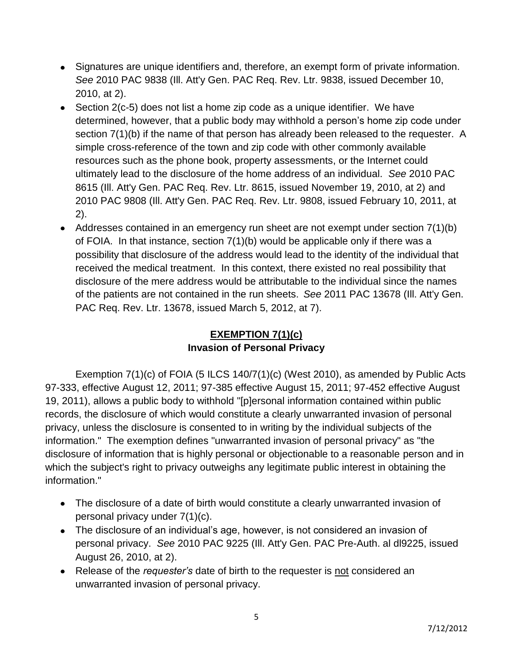- Signatures are unique identifiers and, therefore, an exempt form of private information. *See* 2010 PAC 9838 (Ill. Att'y Gen. PAC Req. Rev. Ltr. 9838, issued December 10, 2010, at 2).
- $\bullet$  Section 2(c-5) does not list a home zip code as a unique identifier. We have determined, however, that a public body may withhold a person's home zip code under section 7(1)(b) if the name of that person has already been released to the requester. A simple cross-reference of the town and zip code with other commonly available resources such as the phone book, property assessments, or the Internet could ultimately lead to the disclosure of the home address of an individual. *See* 2010 PAC 8615 (Ill. Att'y Gen. PAC Req. Rev. Ltr. 8615, issued November 19, 2010, at 2) and 2010 PAC 9808 (Ill. Att'y Gen. PAC Req. Rev. Ltr. 9808, issued February 10, 2011, at 2).
- Addresses contained in an emergency run sheet are not exempt under section 7(1)(b) of FOIA. In that instance, section 7(1)(b) would be applicable only if there was a possibility that disclosure of the address would lead to the identity of the individual that received the medical treatment. In this context, there existed no real possibility that disclosure of the mere address would be attributable to the individual since the names of the patients are not contained in the run sheets. *See* 2011 PAC 13678 (Ill. Att'y Gen. PAC Req. Rev. Ltr. 13678, issued March 5, 2012, at 7).

# **EXEMPTION 7(1)(c) Invasion of Personal Privacy**

Exemption 7(1)(c) of FOIA (5 ILCS 140/7(1)(c) (West 2010), as amended by Public Acts 97-333, effective August 12, 2011; 97-385 effective August 15, 2011; 97-452 effective August 19, 2011), allows a public body to withhold "[p]ersonal information contained within public records, the disclosure of which would constitute a clearly unwarranted invasion of personal privacy, unless the disclosure is consented to in writing by the individual subjects of the information." The exemption defines "unwarranted invasion of personal privacy" as "the disclosure of information that is highly personal or objectionable to a reasonable person and in which the subject's right to privacy outweighs any legitimate public interest in obtaining the information."

- The disclosure of a date of birth would constitute a clearly unwarranted invasion of personal privacy under 7(1)(c).
- The disclosure of an individual's age, however, is not considered an invasion of personal privacy. *See* 2010 PAC 9225 (Ill. Att'y Gen. PAC Pre-Auth. al dl9225, issued August 26, 2010, at 2).
- Release of the *requester's* date of birth to the requester is not considered an unwarranted invasion of personal privacy.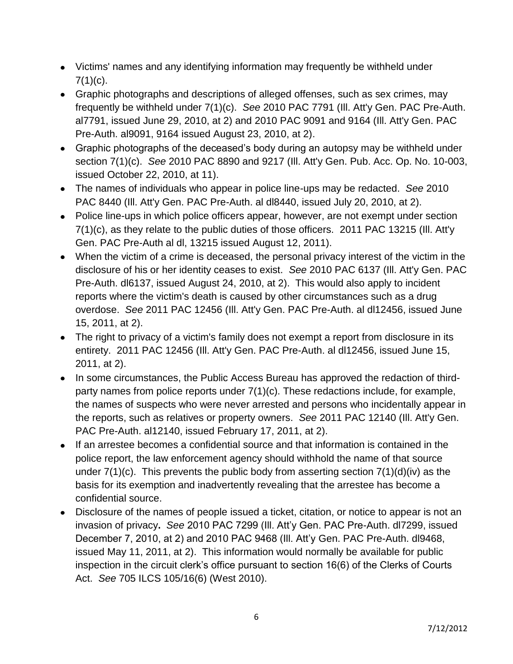- Victims' names and any identifying information may frequently be withheld under  $7(1)(c)$ .
- Graphic photographs and descriptions of alleged offenses, such as sex crimes, may frequently be withheld under 7(1)(c). *See* 2010 PAC 7791 (Ill. Att'y Gen. PAC Pre-Auth. al7791, issued June 29, 2010, at 2) and 2010 PAC 9091 and 9164 (Ill. Att'y Gen. PAC Pre-Auth. al9091, 9164 issued August 23, 2010, at 2).
- Graphic photographs of the deceased's body during an autopsy may be withheld under section 7(1)(c). *See* 2010 PAC 8890 and 9217 (Ill. Att'y Gen. Pub. Acc. Op. No. 10-003, issued October 22, 2010, at 11).
- The names of individuals who appear in police line-ups may be redacted. *See* 2010 PAC 8440 (Ill. Att'y Gen. PAC Pre-Auth. al dl8440, issued July 20, 2010, at 2).
- Police line-ups in which police officers appear, however, are not exempt under section 7(1)(c), as they relate to the public duties of those officers. 2011 PAC 13215 (Ill. Att'y Gen. PAC Pre-Auth al dl, 13215 issued August 12, 2011).
- When the victim of a crime is deceased, the personal privacy interest of the victim in the disclosure of his or her identity ceases to exist. *See* 2010 PAC 6137 (Ill. Att'y Gen. PAC Pre-Auth. dl6137, issued August 24, 2010, at 2). This would also apply to incident reports where the victim's death is caused by other circumstances such as a drug overdose. *See* 2011 PAC 12456 (Ill. Att'y Gen. PAC Pre-Auth. al dl12456, issued June 15, 2011, at 2).
- The right to privacy of a victim's family does not exempt a report from disclosure in its entirety. 2011 PAC 12456 (Ill. Att'y Gen. PAC Pre-Auth. al dl12456, issued June 15, 2011, at 2).
- In some circumstances, the Public Access Bureau has approved the redaction of thirdparty names from police reports under 7(1)(c). These redactions include, for example, the names of suspects who were never arrested and persons who incidentally appear in the reports, such as relatives or property owners. *See* 2011 PAC 12140 (Ill. Att'y Gen. PAC Pre-Auth. al12140, issued February 17, 2011, at 2).
- If an arrestee becomes a confidential source and that information is contained in the police report, the law enforcement agency should withhold the name of that source under  $7(1)(c)$ . This prevents the public body from asserting section  $7(1)(d)(iv)$  as the basis for its exemption and inadvertently revealing that the arrestee has become a confidential source.
- Disclosure of the names of people issued a ticket, citation, or notice to appear is not an invasion of privacy**.** *See* 2010 PAC 7299 (Ill. Att'y Gen. PAC Pre-Auth. dl7299, issued December 7, 2010, at 2) and 2010 PAC 9468 (Ill. Att'y Gen. PAC Pre-Auth. dl9468, issued May 11, 2011, at 2). This information would normally be available for public inspection in the circuit clerk's office pursuant to section 16(6) of the Clerks of Courts Act. *See* 705 ILCS 105/16(6) (West 2010).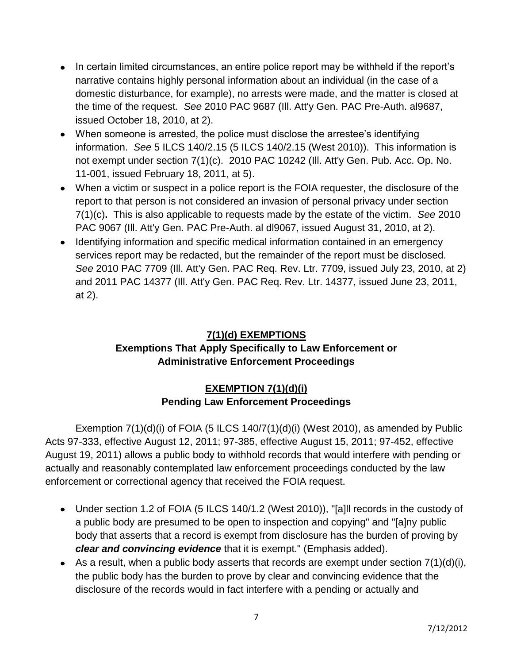- In certain limited circumstances, an entire police report may be withheld if the report's narrative contains highly personal information about an individual (in the case of a domestic disturbance, for example), no arrests were made, and the matter is closed at the time of the request. *See* 2010 PAC 9687 (Ill. Att'y Gen. PAC Pre-Auth. al9687, issued October 18, 2010, at 2).
- When someone is arrested, the police must disclose the arrestee's identifying information. *See* 5 ILCS 140/2.15 (5 ILCS 140/2.15 (West 2010)). This information is not exempt under section 7(1)(c).2010 PAC 10242 (Ill. Att'y Gen. Pub. Acc. Op. No. 11-001, issued February 18, 2011, at 5).
- When a victim or suspect in a police report is the FOIA requester, the disclosure of the report to that person is not considered an invasion of personal privacy under section 7(1)(c)**.** This is also applicable to requests made by the estate of the victim. *See* 2010 PAC 9067 (Ill. Att'y Gen. PAC Pre-Auth. al dl9067, issued August 31, 2010, at 2).
- Identifying information and specific medical information contained in an emergency services report may be redacted, but the remainder of the report must be disclosed. *See* 2010 PAC 7709 (Ill. Att'y Gen. PAC Req. Rev. Ltr. 7709, issued July 23, 2010, at 2) and 2011 PAC 14377 (Ill. Att'y Gen. PAC Req. Rev. Ltr. 14377, issued June 23, 2011, at 2).

# **7(1)(d) EXEMPTIONS**

### **Exemptions That Apply Specifically to Law Enforcement or Administrative Enforcement Proceedings**

### **EXEMPTION 7(1)(d)(i) Pending Law Enforcement Proceedings**

Exemption  $7(1)(d)(i)$  of FOIA (5 ILCS  $140/7(1)(d)(i)$  (West 2010), as amended by Public Acts 97-333, effective August 12, 2011; 97-385, effective August 15, 2011; 97-452, effective August 19, 2011) allows a public body to withhold records that would interfere with pending or actually and reasonably contemplated law enforcement proceedings conducted by the law enforcement or correctional agency that received the FOIA request.

- Under section 1.2 of FOIA (5 ILCS 140/1.2 (West 2010)), "[a]Il records in the custody of a public body are presumed to be open to inspection and copying" and "[a]ny public body that asserts that a record is exempt from disclosure has the burden of proving by *clear and convincing evidence* that it is exempt." (Emphasis added).
- As a result, when a public body asserts that records are exempt under section  $7(1)(d)(i)$ , the public body has the burden to prove by clear and convincing evidence that the disclosure of the records would in fact interfere with a pending or actually and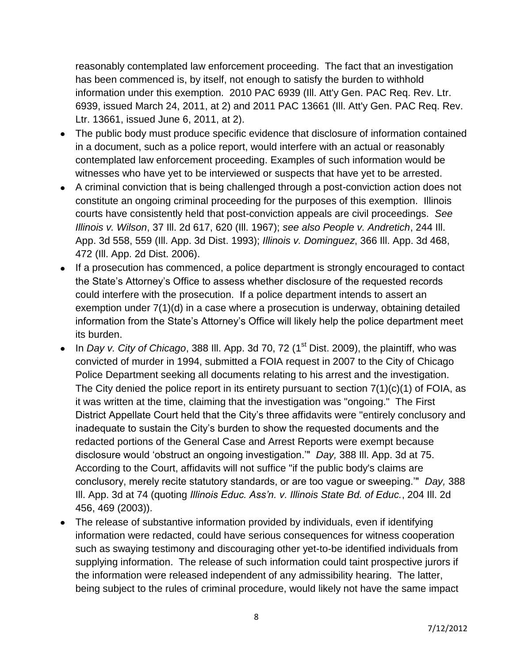reasonably contemplated law enforcement proceeding. The fact that an investigation has been commenced is, by itself, not enough to satisfy the burden to withhold information under this exemption. 2010 PAC 6939 (Ill. Att'y Gen. PAC Req. Rev. Ltr. 6939, issued March 24, 2011, at 2) and 2011 PAC 13661 (Ill. Att'y Gen. PAC Req. Rev. Ltr. 13661, issued June 6, 2011, at 2).

- The public body must produce specific evidence that disclosure of information contained in a document, such as a police report, would interfere with an actual or reasonably contemplated law enforcement proceeding. Examples of such information would be witnesses who have yet to be interviewed or suspects that have yet to be arrested.
- A criminal conviction that is being challenged through a post-conviction action does not constitute an ongoing criminal proceeding for the purposes of this exemption. Illinois courts have consistently held that post-conviction appeals are civil proceedings. *See Illinois v. Wilson*, 37 Ill. 2d 617, 620 (Ill. 1967); *see also People v. Andretich*, 244 Ill. App. 3d 558, 559 (Ill. App. 3d Dist. 1993); *Illinois v. Dominguez*, 366 Ill. App. 3d 468, 472 (Ill. App. 2d Dist. 2006).
- If a prosecution has commenced, a police department is strongly encouraged to contact the State's Attorney's Office to assess whether disclosure of the requested records could interfere with the prosecution. If a police department intends to assert an exemption under 7(1)(d) in a case where a prosecution is underway, obtaining detailed information from the State's Attorney's Office will likely help the police department meet its burden.
- In *Day v. City of Chicago*, 388 III. App. 3d 70, 72 (1<sup>st</sup> Dist. 2009), the plaintiff, who was convicted of murder in 1994, submitted a FOIA request in 2007 to the City of Chicago Police Department seeking all documents relating to his arrest and the investigation. The City denied the police report in its entirety pursuant to section 7(1)(c)(1) of FOIA, as it was written at the time, claiming that the investigation was "ongoing." The First District Appellate Court held that the City's three affidavits were "entirely conclusory and inadequate to sustain the City's burden to show the requested documents and the redacted portions of the General Case and Arrest Reports were exempt because disclosure would 'obstruct an ongoing investigation.'" *Day,* 388 Ill. App. 3d at 75. According to the Court, affidavits will not suffice "if the public body's claims are conclusory, merely recite statutory standards, or are too vague or sweeping.'" *Day,* 388 Ill. App. 3d at 74 (quoting *Illinois Educ. Ass'n. v. Illinois State Bd. of Educ.*, 204 Ill. 2d 456, 469 (2003)).
- The release of substantive information provided by individuals, even if identifying information were redacted, could have serious consequences for witness cooperation such as swaying testimony and discouraging other yet-to-be identified individuals from supplying information. The release of such information could taint prospective jurors if the information were released independent of any admissibility hearing. The latter, being subject to the rules of criminal procedure, would likely not have the same impact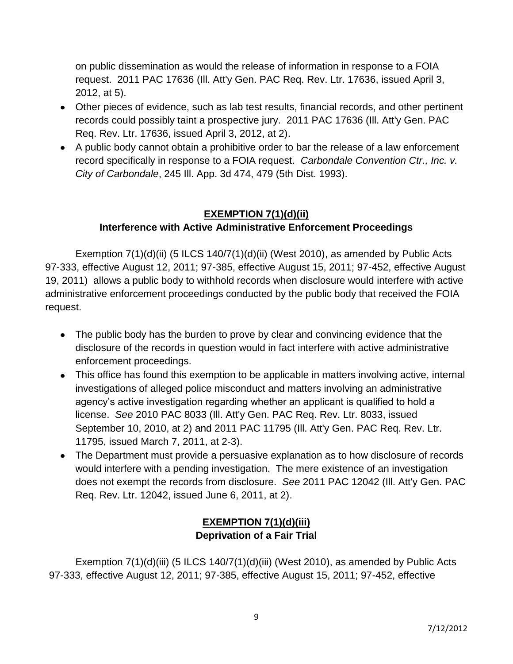on public dissemination as would the release of information in response to a FOIA request. 2011 PAC 17636 (Ill. Att'y Gen. PAC Req. Rev. Ltr. 17636, issued April 3, 2012, at 5).

- Other pieces of evidence, such as lab test results, financial records, and other pertinent records could possibly taint a prospective jury. 2011 PAC 17636 (Ill. Att'y Gen. PAC Req. Rev. Ltr. 17636, issued April 3, 2012, at 2).
- A public body cannot obtain a prohibitive order to bar the release of a law enforcement record specifically in response to a FOIA request. *Carbondale Convention Ctr., Inc. v. City of Carbondale*, 245 Ill. App. 3d 474, 479 (5th Dist. 1993).

## **EXEMPTION 7(1)(d)(ii) Interference with Active Administrative Enforcement Proceedings**

Exemption  $7(1)(d)(ii)$  (5 ILCS  $140/7(1)(d)(ii)$  (West 2010), as amended by Public Acts 97-333, effective August 12, 2011; 97-385, effective August 15, 2011; 97-452, effective August 19, 2011) allows a public body to withhold records when disclosure would interfere with active administrative enforcement proceedings conducted by the public body that received the FOIA request.

- The public body has the burden to prove by clear and convincing evidence that the disclosure of the records in question would in fact interfere with active administrative enforcement proceedings.
- This office has found this exemption to be applicable in matters involving active, internal investigations of alleged police misconduct and matters involving an administrative agency's active investigation regarding whether an applicant is qualified to hold a license. *See* 2010 PAC 8033 (Ill. Att'y Gen. PAC Req. Rev. Ltr. 8033, issued September 10, 2010, at 2) and 2011 PAC 11795 (Ill. Att'y Gen. PAC Req. Rev. Ltr. 11795, issued March 7, 2011, at 2-3).
- The Department must provide a persuasive explanation as to how disclosure of records would interfere with a pending investigation. The mere existence of an investigation does not exempt the records from disclosure. *See* 2011 PAC 12042 (Ill. Att'y Gen. PAC Req. Rev. Ltr. 12042, issued June 6, 2011, at 2).

### **EXEMPTION 7(1)(d)(iii) Deprivation of a Fair Trial**

Exemption  $7(1)(d)(iii)$  (5 ILCS  $140/7(1)(d)(iii)$  (West 2010), as amended by Public Acts 97-333, effective August 12, 2011; 97-385, effective August 15, 2011; 97-452, effective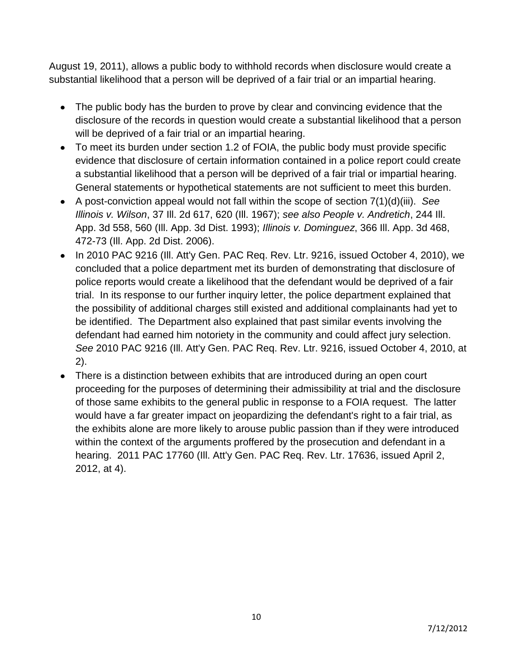August 19, 2011), allows a public body to withhold records when disclosure would create a substantial likelihood that a person will be deprived of a fair trial or an impartial hearing.

- The public body has the burden to prove by clear and convincing evidence that the disclosure of the records in question would create a substantial likelihood that a person will be deprived of a fair trial or an impartial hearing.
- To meet its burden under section 1.2 of FOIA, the public body must provide specific evidence that disclosure of certain information contained in a police report could create a substantial likelihood that a person will be deprived of a fair trial or impartial hearing. General statements or hypothetical statements are not sufficient to meet this burden.
- A post-conviction appeal would not fall within the scope of section 7(1)(d)(iii). *See Illinois v. Wilson*, 37 Ill. 2d 617, 620 (Ill. 1967); *see also People v. Andretich*, 244 Ill. App. 3d 558, 560 (Ill. App. 3d Dist. 1993); *Illinois v. Dominguez*, 366 Ill. App. 3d 468, 472-73 (Ill. App. 2d Dist. 2006).
- In 2010 PAC 9216 (III. Att'y Gen. PAC Req. Rev. Ltr. 9216, issued October 4, 2010), we concluded that a police department met its burden of demonstrating that disclosure of police reports would create a likelihood that the defendant would be deprived of a fair trial. In its response to our further inquiry letter, the police department explained that the possibility of additional charges still existed and additional complainants had yet to be identified. The Department also explained that past similar events involving the defendant had earned him notoriety in the community and could affect jury selection. *See* 2010 PAC 9216 (Ill. Att'y Gen. PAC Req. Rev. Ltr. 9216, issued October 4, 2010, at 2).
- There is a distinction between exhibits that are introduced during an open court proceeding for the purposes of determining their admissibility at trial and the disclosure of those same exhibits to the general public in response to a FOIA request. The latter would have a far greater impact on jeopardizing the defendant's right to a fair trial, as the exhibits alone are more likely to arouse public passion than if they were introduced within the context of the arguments proffered by the prosecution and defendant in a hearing. 2011 PAC 17760 (Ill. Att'y Gen. PAC Req. Rev. Ltr. 17636, issued April 2, 2012, at 4).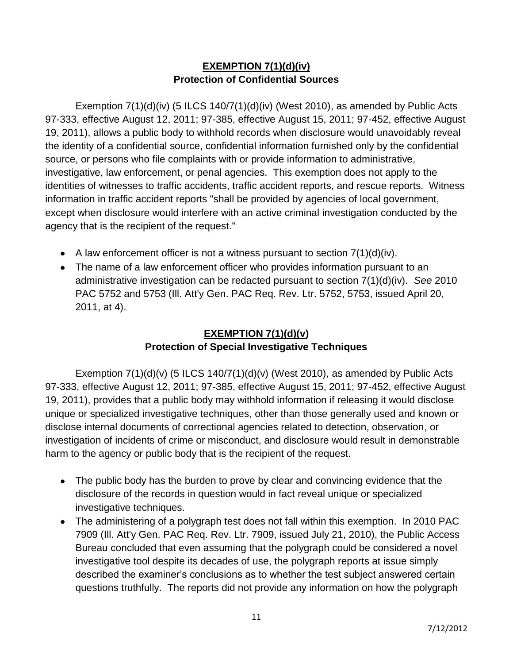### **EXEMPTION 7(1)(d)(iv) Protection of Confidential Sources**

Exemption 7(1)(d)(iv) (5 ILCS 140/7(1)(d)(iv) (West 2010), as amended by Public Acts 97-333, effective August 12, 2011; 97-385, effective August 15, 2011; 97-452, effective August 19, 2011), allows a public body to withhold records when disclosure would unavoidably reveal the identity of a confidential source, confidential information furnished only by the confidential source, or persons who file complaints with or provide information to administrative, investigative, law enforcement, or penal agencies. This exemption does not apply to the identities of witnesses to traffic accidents, traffic accident reports, and rescue reports. Witness information in traffic accident reports "shall be provided by agencies of local government, except when disclosure would interfere with an active criminal investigation conducted by the agency that is the recipient of the request."

- A law enforcement officer is not a witness pursuant to section  $7(1)(d)(iv)$ .
- The name of a law enforcement officer who provides information pursuant to an administrative investigation can be redacted pursuant to section 7(1)(d)(iv). *See* 2010 PAC 5752 and 5753 (Ill. Att'y Gen. PAC Req. Rev. Ltr. 5752, 5753, issued April 20, 2011, at 4).

# **EXEMPTION 7(1)(d)(v) Protection of Special Investigative Techniques**

Exemption  $7(1)(d)(v)$  (5 ILCS  $140/7(1)(d)(v)$  (West 2010), as amended by Public Acts 97-333, effective August 12, 2011; 97-385, effective August 15, 2011; 97-452, effective August 19, 2011), provides that a public body may withhold information if releasing it would disclose unique or specialized investigative techniques, other than those generally used and known or disclose internal documents of correctional agencies related to detection, observation, or investigation of incidents of crime or misconduct, and disclosure would result in demonstrable harm to the agency or public body that is the recipient of the request.

- The public body has the burden to prove by clear and convincing evidence that the disclosure of the records in question would in fact reveal unique or specialized investigative techniques.
- The administering of a polygraph test does not fall within this exemption. In 2010 PAC 7909 (Ill. Att'y Gen. PAC Req. Rev. Ltr. 7909, issued July 21, 2010), the Public Access Bureau concluded that even assuming that the polygraph could be considered a novel investigative tool despite its decades of use, the polygraph reports at issue simply described the examiner's conclusions as to whether the test subject answered certain questions truthfully. The reports did not provide any information on how the polygraph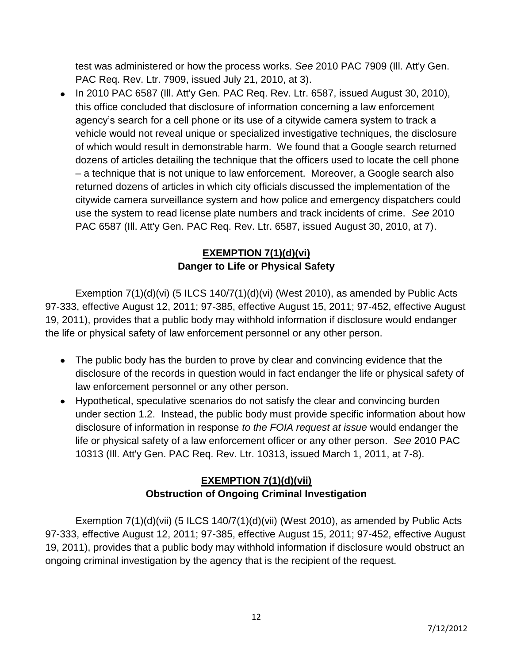test was administered or how the process works. *See* 2010 PAC 7909 (Ill. Att'y Gen. PAC Req. Rev. Ltr. 7909, issued July 21, 2010, at 3).

 $\bullet$  In 2010 PAC 6587 (III. Att'y Gen. PAC Req. Rev. Ltr. 6587, issued August 30, 2010), this office concluded that disclosure of information concerning a law enforcement agency's search for a cell phone or its use of a citywide camera system to track a vehicle would not reveal unique or specialized investigative techniques, the disclosure of which would result in demonstrable harm. We found that a Google search returned dozens of articles detailing the technique that the officers used to locate the cell phone – a technique that is not unique to law enforcement. Moreover, a Google search also returned dozens of articles in which city officials discussed the implementation of the citywide camera surveillance system and how police and emergency dispatchers could use the system to read license plate numbers and track incidents of crime. *See* 2010 PAC 6587 (Ill. Att'y Gen. PAC Req. Rev. Ltr. 6587, issued August 30, 2010, at 7).

## **EXEMPTION 7(1)(d)(vi) Danger to Life or Physical Safety**

Exemption  $7(1)(d)(vi)$  (5 ILCS  $140/7(1)(d)(vi)$  (West 2010), as amended by Public Acts 97-333, effective August 12, 2011; 97-385, effective August 15, 2011; 97-452, effective August 19, 2011), provides that a public body may withhold information if disclosure would endanger the life or physical safety of law enforcement personnel or any other person.

- The public body has the burden to prove by clear and convincing evidence that the disclosure of the records in question would in fact endanger the life or physical safety of law enforcement personnel or any other person.
- Hypothetical, speculative scenarios do not satisfy the clear and convincing burden under section 1.2. Instead, the public body must provide specific information about how disclosure of information in response *to the FOIA request at issue* would endanger the life or physical safety of a law enforcement officer or any other person. *See* 2010 PAC 10313 (Ill. Att'y Gen. PAC Req. Rev. Ltr. 10313, issued March 1, 2011, at 7-8).

# **EXEMPTION 7(1)(d)(vii) Obstruction of Ongoing Criminal Investigation**

Exemption 7(1)(d)(vii) (5 ILCS 140/7(1)(d)(vii) (West 2010), as amended by Public Acts 97-333, effective August 12, 2011; 97-385, effective August 15, 2011; 97-452, effective August 19, 2011), provides that a public body may withhold information if disclosure would obstruct an ongoing criminal investigation by the agency that is the recipient of the request.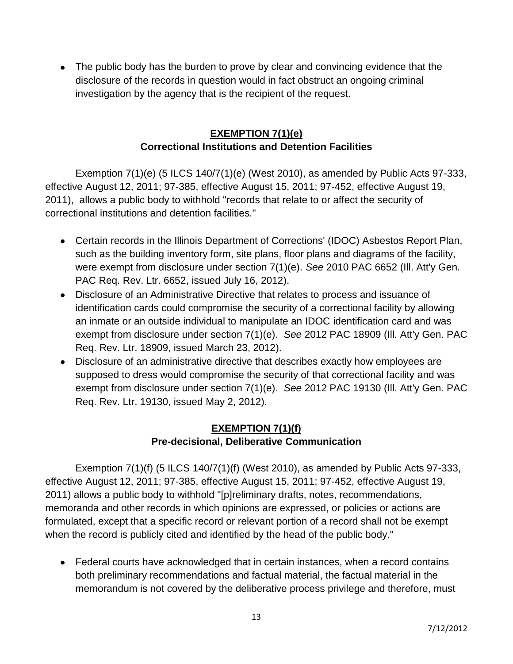The public body has the burden to prove by clear and convincing evidence that the disclosure of the records in question would in fact obstruct an ongoing criminal investigation by the agency that is the recipient of the request.

### **EXEMPTION 7(1)(e) Correctional Institutions and Detention Facilities**

Exemption 7(1)(e) (5 ILCS 140/7(1)(e) (West 2010), as amended by Public Acts 97-333, effective August 12, 2011; 97-385, effective August 15, 2011; 97-452, effective August 19, 2011), allows a public body to withhold "records that relate to or affect the security of correctional institutions and detention facilities."

- Certain records in the Illinois Department of Corrections' (IDOC) Asbestos Report Plan, such as the building inventory form, site plans, floor plans and diagrams of the facility, were exempt from disclosure under section 7(1)(e). *See* 2010 PAC 6652 (Ill. Att'y Gen. PAC Req. Rev. Ltr. 6652, issued July 16, 2012).
- Disclosure of an Administrative Directive that relates to process and issuance of identification cards could compromise the security of a correctional facility by allowing an inmate or an outside individual to manipulate an IDOC identification card and was exempt from disclosure under section 7(1)(e). *See* 2012 PAC 18909 (Ill. Att'y Gen. PAC Req. Rev. Ltr. 18909, issued March 23, 2012).
- Disclosure of an administrative directive that describes exactly how employees are supposed to dress would compromise the security of that correctional facility and was exempt from disclosure under section 7(1)(e). *See* 2012 PAC 19130 (Ill. Att'y Gen. PAC Req. Rev. Ltr. 19130, issued May 2, 2012).

# **EXEMPTION 7(1)(f) Pre-decisional, Deliberative Communication**

Exemption 7(1)(f) (5 ILCS 140/7(1)(f) (West 2010), as amended by Public Acts 97-333, effective August 12, 2011; 97-385, effective August 15, 2011; 97-452, effective August 19, 2011) allows a public body to withhold "[p]reliminary drafts, notes, recommendations, memoranda and other records in which opinions are expressed, or policies or actions are formulated, except that a specific record or relevant portion of a record shall not be exempt when the record is publicly cited and identified by the head of the public body."

Federal courts have acknowledged that in certain instances, when a record contains both preliminary recommendations and factual material, the factual material in the memorandum is not covered by the deliberative process privilege and therefore, must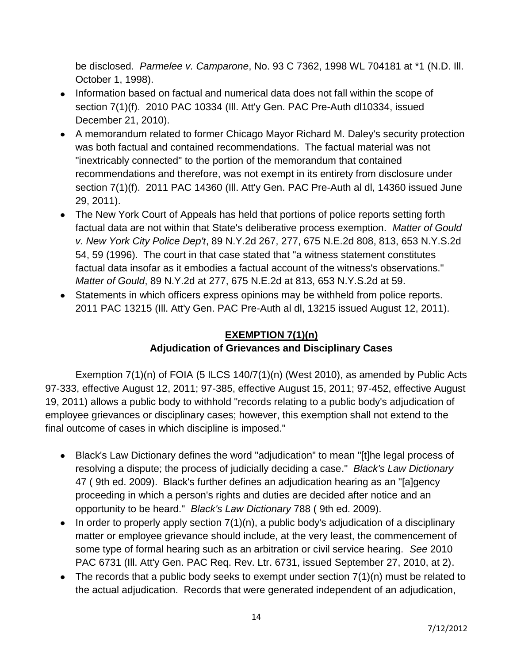be disclosed. *Parmelee v. Camparone*, No. 93 C 7362, 1998 WL 704181 at \*1 (N.D. Ill. October 1, 1998).

- Information based on factual and numerical data does not fall within the scope of section 7(1)(f). 2010 PAC 10334 (Ill. Att'y Gen. PAC Pre-Auth dl10334, issued December 21, 2010).
- A memorandum related to former Chicago Mayor Richard M. Daley's security protection was both factual and contained recommendations. The factual material was not "inextricably connected" to the portion of the memorandum that contained recommendations and therefore, was not exempt in its entirety from disclosure under section 7(1)(f). 2011 PAC 14360 (Ill. Att'y Gen. PAC Pre-Auth al dl, 14360 issued June 29, 2011).
- The New York Court of Appeals has held that portions of police reports setting forth factual data are not within that State's deliberative process exemption. *Matter of Gould v. New York City Police Dep't*, 89 N.Y.2d 267, 277, 675 N.E.2d 808, 813, 653 N.Y.S.2d 54, 59 (1996). The court in that case stated that "a witness statement constitutes factual data insofar as it embodies a factual account of the witness's observations." *Matter of Gould*, 89 N.Y.2d at 277, 675 N.E.2d at 813, 653 N.Y.S.2d at 59.
- Statements in which officers express opinions may be withheld from police reports. 2011 PAC 13215 (Ill. Att'y Gen. PAC Pre-Auth al dl, 13215 issued August 12, 2011).

### **EXEMPTION 7(1)(n) Adjudication of Grievances and Disciplinary Cases**

Exemption 7(1)(n) of FOIA (5 ILCS 140/7(1)(n) (West 2010), as amended by Public Acts 97-333, effective August 12, 2011; 97-385, effective August 15, 2011; 97-452, effective August 19, 2011) allows a public body to withhold "records relating to a public body's adjudication of employee grievances or disciplinary cases; however, this exemption shall not extend to the final outcome of cases in which discipline is imposed."

- Black's Law Dictionary defines the word "adjudication" to mean "[t]he legal process of resolving a dispute; the process of judicially deciding a case." *Black's Law Dictionary*  47 ( 9th ed. 2009). Black's further defines an adjudication hearing as an "[a]gency proceeding in which a person's rights and duties are decided after notice and an opportunity to be heard." *Black's Law Dictionary* 788 ( 9th ed. 2009).
- $\bullet$  In order to properly apply section  $7(1)(n)$ , a public body's adjudication of a disciplinary matter or employee grievance should include, at the very least, the commencement of some type of formal hearing such as an arbitration or civil service hearing. *See* 2010 PAC 6731 (Ill. Att'y Gen. PAC Req. Rev. Ltr. 6731, issued September 27, 2010, at 2).
- The records that a public body seeks to exempt under section  $7(1)(n)$  must be related to the actual adjudication. Records that were generated independent of an adjudication,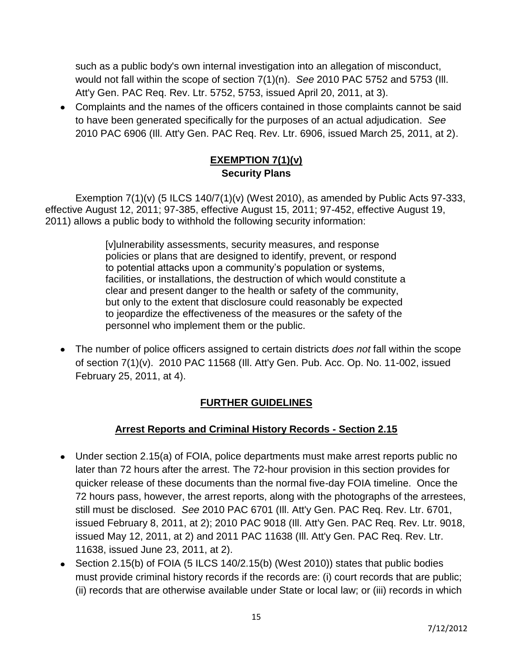such as a public body's own internal investigation into an allegation of misconduct, would not fall within the scope of section 7(1)(n). *See* 2010 PAC 5752 and 5753 (Ill. Att'y Gen. PAC Req. Rev. Ltr. 5752, 5753, issued April 20, 2011, at 3).

Complaints and the names of the officers contained in those complaints cannot be said to have been generated specifically for the purposes of an actual adjudication. *See* 2010 PAC 6906 (Ill. Att'y Gen. PAC Req. Rev. Ltr. 6906, issued March 25, 2011, at 2).

# **EXEMPTION 7(1)(v) Security Plans**

Exemption  $7(1)(v)$  (5 ILCS 140/7(1)(v) (West 2010), as amended by Public Acts 97-333, effective August 12, 2011; 97-385, effective August 15, 2011; 97-452, effective August 19, 2011) allows a public body to withhold the following security information:

> [v]ulnerability assessments, security measures, and response policies or plans that are designed to identify, prevent, or respond to potential attacks upon a community's population or systems, facilities, or installations, the destruction of which would constitute a clear and present danger to the health or safety of the community, but only to the extent that disclosure could reasonably be expected to jeopardize the effectiveness of the measures or the safety of the personnel who implement them or the public.

The number of police officers assigned to certain districts *does not* fall within the scope of section 7(1)(v). 2010 PAC 11568 (Ill. Att'y Gen. Pub. Acc. Op. No. 11-002, issued February 25, 2011, at 4).

# **FURTHER GUIDELINES**

### **Arrest Reports and Criminal History Records - Section 2.15**

- Under section 2.15(a) of FOIA, police departments must make arrest reports public no later than 72 hours after the arrest. The 72-hour provision in this section provides for quicker release of these documents than the normal five-day FOIA timeline. Once the 72 hours pass, however, the arrest reports, along with the photographs of the arrestees, still must be disclosed. *See* 2010 PAC 6701 (Ill. Att'y Gen. PAC Req. Rev. Ltr. 6701, issued February 8, 2011, at 2); 2010 PAC 9018 (Ill. Att'y Gen. PAC Req. Rev. Ltr. 9018, issued May 12, 2011, at 2) and 2011 PAC 11638 (Ill. Att'y Gen. PAC Req. Rev. Ltr. 11638, issued June 23, 2011, at 2).
- Section 2.15(b) of FOIA (5 ILCS 140/2.15(b) (West 2010)) states that public bodies must provide criminal history records if the records are: (i) court records that are public; (ii) records that are otherwise available under State or local law; or (iii) records in which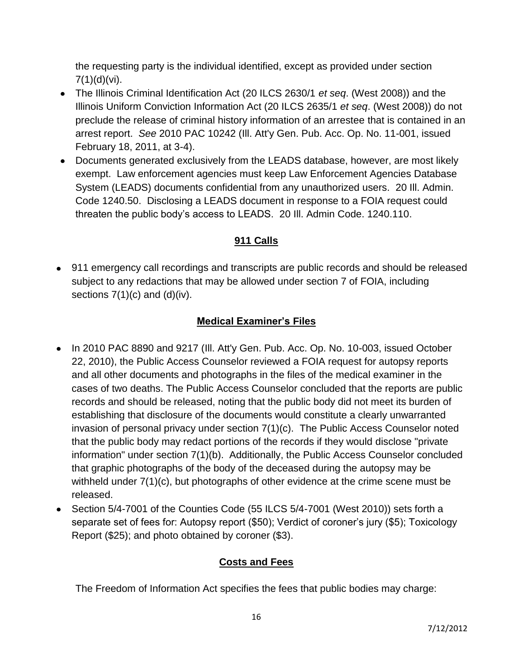the requesting party is the individual identified, except as provided under section  $7(1)(d)(vi)$ .

- The Illinois Criminal Identification Act (20 ILCS 2630/1 *et seq*. (West 2008)) and the Illinois Uniform Conviction Information Act (20 ILCS 2635/1 *et seq*. (West 2008)) do not preclude the release of criminal history information of an arrestee that is contained in an arrest report. *See* 2010 PAC 10242 (Ill. Att'y Gen. Pub. Acc. Op. No. 11-001, issued February 18, 2011, at 3-4).
- Documents generated exclusively from the LEADS database, however, are most likely exempt. Law enforcement agencies must keep Law Enforcement Agencies Database System (LEADS) documents confidential from any unauthorized users. 20 Ill. Admin. Code 1240.50. Disclosing a LEADS document in response to a FOIA request could threaten the public body's access to LEADS. 20 Ill. Admin Code. 1240.110.

# **911 Calls**

911 emergency call recordings and transcripts are public records and should be released subject to any redactions that may be allowed under section 7 of FOIA, including sections  $7(1)(c)$  and  $(d)(iv)$ .

### **Medical Examiner's Files**

- In 2010 PAC 8890 and 9217 (III. Att'y Gen. Pub. Acc. Op. No. 10-003, issued October 22, 2010), the Public Access Counselor reviewed a FOIA request for autopsy reports and all other documents and photographs in the files of the medical examiner in the cases of two deaths. The Public Access Counselor concluded that the reports are public records and should be released, noting that the public body did not meet its burden of establishing that disclosure of the documents would constitute a clearly unwarranted invasion of personal privacy under section 7(1)(c). The Public Access Counselor noted that the public body may redact portions of the records if they would disclose "private information" under section 7(1)(b). Additionally, the Public Access Counselor concluded that graphic photographs of the body of the deceased during the autopsy may be withheld under 7(1)(c), but photographs of other evidence at the crime scene must be released.
- Section 5/4-7001 of the Counties Code (55 ILCS 5/4-7001 (West 2010)) sets forth a separate set of fees for: Autopsy report (\$50); Verdict of coroner's jury (\$5); Toxicology Report (\$25); and photo obtained by coroner (\$3).

### **Costs and Fees**

The Freedom of Information Act specifies the fees that public bodies may charge: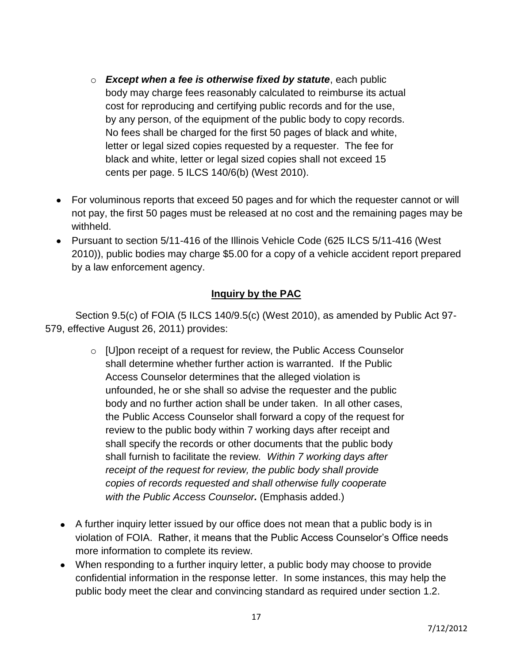- o *Except when a fee is otherwise fixed by statute*, each public body may charge fees reasonably calculated to reimburse its actual cost for reproducing and certifying public records and for the use, by any person, of the equipment of the public body to copy records. No fees shall be charged for the first 50 pages of black and white, letter or legal sized copies requested by a requester. The fee for black and white, letter or legal sized copies shall not exceed 15 cents per page. 5 ILCS 140/6(b) (West 2010).
- For voluminous reports that exceed 50 pages and for which the requester cannot or will not pay, the first 50 pages must be released at no cost and the remaining pages may be withheld.
- Pursuant to section 5/11-416 of the Illinois Vehicle Code (625 ILCS 5/11-416 (West 2010)), public bodies may charge \$5.00 for a copy of a vehicle accident report prepared by a law enforcement agency.

# **Inquiry by the PAC**

Section 9.5(c) of FOIA (5 ILCS 140/9.5(c) (West 2010), as amended by Public Act 97- 579, effective August 26, 2011) provides:

- o [U]pon receipt of a request for review, the Public Access Counselor shall determine whether further action is warranted. If the Public Access Counselor determines that the alleged violation is unfounded, he or she shall so advise the requester and the public body and no further action shall be under taken. In all other cases, the Public Access Counselor shall forward a copy of the request for review to the public body within 7 working days after receipt and shall specify the records or other documents that the public body shall furnish to facilitate the review*. Within 7 working days after receipt of the request for review, the public body shall provide copies of records requested and shall otherwise fully cooperate with the Public Access Counselor.* (Emphasis added.)
- A further inquiry letter issued by our office does not mean that a public body is in violation of FOIA. Rather, it means that the Public Access Counselor's Office needs more information to complete its review.
- When responding to a further inquiry letter, a public body may choose to provide confidential information in the response letter. In some instances, this may help the public body meet the clear and convincing standard as required under section 1.2.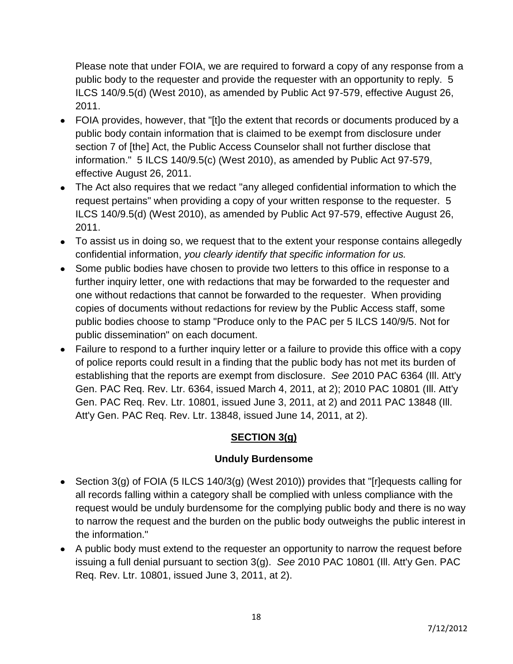Please note that under FOIA, we are required to forward a copy of any response from a public body to the requester and provide the requester with an opportunity to reply. 5 ILCS 140/9.5(d) (West 2010), as amended by Public Act 97-579, effective August 26, 2011.

- FOIA provides, however, that "[t]o the extent that records or documents produced by a public body contain information that is claimed to be exempt from disclosure under section 7 of [the] Act, the Public Access Counselor shall not further disclose that information." 5 ILCS 140/9.5(c) (West 2010), as amended by Public Act 97-579, effective August 26, 2011.
- The Act also requires that we redact "any alleged confidential information to which the request pertains" when providing a copy of your written response to the requester. 5 ILCS 140/9.5(d) (West 2010), as amended by Public Act 97-579, effective August 26, 2011.
- To assist us in doing so, we request that to the extent your response contains allegedly confidential information, *you clearly identify that specific information for us.*
- Some public bodies have chosen to provide two letters to this office in response to a further inquiry letter, one with redactions that may be forwarded to the requester and one without redactions that cannot be forwarded to the requester. When providing copies of documents without redactions for review by the Public Access staff, some public bodies choose to stamp "Produce only to the PAC per 5 ILCS 140/9/5. Not for public dissemination" on each document.
- Failure to respond to a further inquiry letter or a failure to provide this office with a copy of police reports could result in a finding that the public body has not met its burden of establishing that the reports are exempt from disclosure. *See* 2010 PAC 6364 (Ill. Att'y Gen. PAC Req. Rev. Ltr. 6364, issued March 4, 2011, at 2); 2010 PAC 10801 (Ill. Att'y Gen. PAC Req. Rev. Ltr. 10801, issued June 3, 2011, at 2) and 2011 PAC 13848 (Ill. Att'y Gen. PAC Req. Rev. Ltr. 13848, issued June 14, 2011, at 2).

# **SECTION 3(g)**

### **Unduly Burdensome**

- Section 3(g) of FOIA (5 ILCS 140/3(g) (West 2010)) provides that "[r]equests calling for all records falling within a category shall be complied with unless compliance with the request would be unduly burdensome for the complying public body and there is no way to narrow the request and the burden on the public body outweighs the public interest in the information."
- A public body must extend to the requester an opportunity to narrow the request before issuing a full denial pursuant to section 3(g). *See* 2010 PAC 10801 (Ill. Att'y Gen. PAC Req. Rev. Ltr. 10801, issued June 3, 2011, at 2).